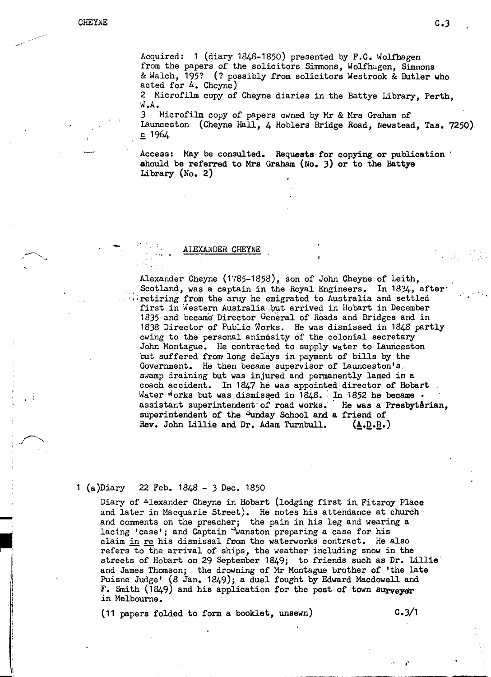Acquired: 1 (diary 1848-1850) presented by F.C. Wolfhagen from the papers of the solicitors Simmons, Wolfhagen, Simmons & Walch, 195? (? possibly from solicitors Westrook & Butler who acted for A. Cheyne) 2 Microfilm copy of Cheyne diaries in the Battye Library, Perth, W.A.

3 Microfilm copy of papers owned by Mr & Mrs Graham of Launceston (Cheyne Hall, 4 Hoblers Bridge Road, Newstead, Tas. 7250) c  $1964$ 

Access: May be consulted. Requests for copying or publication ahould be referred to Mrs Graham (No. 3) or to the Battye Library  $(N_0, 2)$ 

## ALEXANDER CHEYNE

Alexander Cheyne (1785-1858), son of John Cheyne of Leith, Scotland, was a captain in the Royal Engineers. In 1834, after  $\cdot$  retiring from the army he emigrated to Australia and settled first in Western Australia: but arrived in Hobart in December 1835 and became Director General of Roads and Bridges and in 1838 Director of Public Works. He was dismissed in 1848 partly owing to the personal animasity of the colonial secretary John Montague. He contracted to supply water to Launceston but suffered trom' long delays in payment of bills by the Government. He then became supervisor of Launceston's. swamp draining but was injured and permanently lamed in·a coach accident. In 1847 he was appointed director of Hobart Water  $w$ orks but was dismissed in 1848. In 1852 he became  $\cdot$ assistant superintendent of road works. He was a Presbyterian, superintendent of the ~unday School and a friend of Rev. John Lillie and Dr. Adam Turnbull. **(A.D.B.)** 

## 1 (a)Diary 22 Feb. 1848 - 3 Dec. 1850

Diary of <sup>A</sup>lexander Cheyne in Hobart (lodging first in Fitzroy Place Diary of "Texander Uneyne in hooart (Todging Tirst in Fitzroy Place and later in Macquarie Street). He notes his attendance at church and comments on the preacher; the pain in his leg and wearing a and comments on the preacher; the pain in his leg and wearing a lacing 'case'; and Captain ~wanston preparing a case for his claim  $in$   $re$  his dismissal from the waterworks contract. He also refers to the arrival of ships, the weather including snow in the streets of Hobart on 29 September 1849; to friends such as Dr. Lillie' and James Thomson; the drowning of Mr Montague brother of 'the late Puisne Judge' (8 Jan. 1849); a duel fought by Edward Macdowell and F. Smith  $(1849)$  and his application for the post of town surveyor in Melbourne.

1 (11 papers folded to form a booklet, unsewn) C.3/1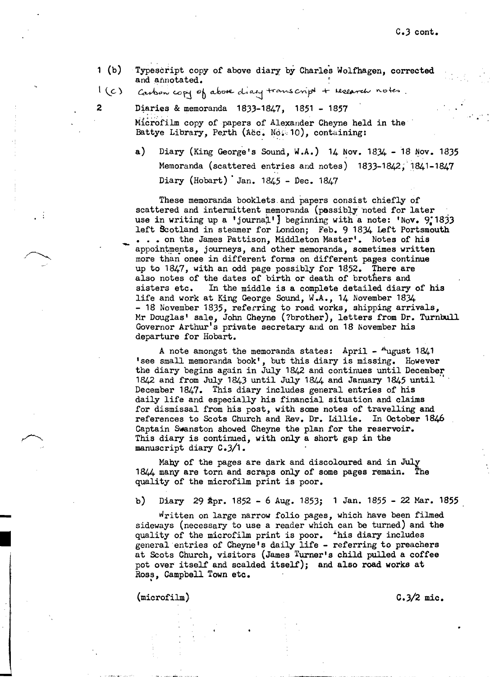- 1 (b) Typescript copy of above diary by Charles Wolfhagen, corrected and annotated.
- I'(c) carbon copy of above clieny transcript + research notes.

2 Diaries & memoranda 1833-1847, 1851 - 1857 Microfilm copy of papers of Alexander Cheyne held in the Battye Library, Perth (Acc. No. 10), containing:

> a) Diary (King George's Sound, W.A.)  $14$  Nov.  $1834 - 18$  Nov.  $1835$ Memoranda (scattered entries and notes) 1833-1842; 1841-1847 Diary (Hobart)  $\text{Jan. } 1845 - \text{Dec. } 1847$

> These memoranda booklets and papers consist chiefly of scattered and intermittent memoranda (possibly noted for later use in writing up a 'journal') beginning with a note: 'Nov. 9.1833 left Scotland in steamer for London; Feb. 9 1834 Left Portsmouth . . . on the James Pattison, Middleton Master'. Notes of his appointments, journeys, and other memoranda, sometimes written more than onee in different forms on different pages continue up to 1847, with an odd page possibly for 1852. There are also notes of the dates of birth or death of brothers and sisters etc. In the middle is a complete detailed diary of his life and work at King George Sound, W.A., 14 November 1834 - 18 November 1835, referring to road works, shipping arrivals, Mr Douglas' sale, John Cheyne (?brother), letters from Dr. Turnbull Governor Arthur's private secretary and on 18 November his departure for Hobart.

A note amongst the memoranda states: April -  $n_{\text{u}qust}$  1841 'see small memoranda book', but this diary is missing. However the diary begins again in July 1842 and continues until December 1842 and from July 1843 until July 1844 and January 1845 until  $\cdot$  : December 1847. This diary includes general entries of his daily life and especially his financial situation and claims for dismissal from his post, with some notes of travelling and references to Scots Church and Rev. Dr. Lillie. In October 1846 Captain Swanston showed Cheyne the plan for the reservoir. This diary is continued, with only a short gap in the manuscript diary C.3/1. .

Mahy of the pages are dark and discoloured and in July 1844 many are torn and scraps only of some pages remain. The quality of the microfilm print is poor.

b) Diary 29 Apr. 1852 - 6 Aug. 1853; 1 Jan. 1855 - 22 Mar. 1855

Written on large narrow folio pages, which have been filmed sideways (necessary to use a reader which can be turned) and the quality of the microfilm print is poor. <sup>T</sup>his diary includes general entries of Cheyne's daily life - referring to preachers at Scots Church, visitors (James Turner's child pulled a coffee pot over itself and scalded itself); and also road works at Ross, Campbell Town etc.

(microfilm) C.3/2 mic.